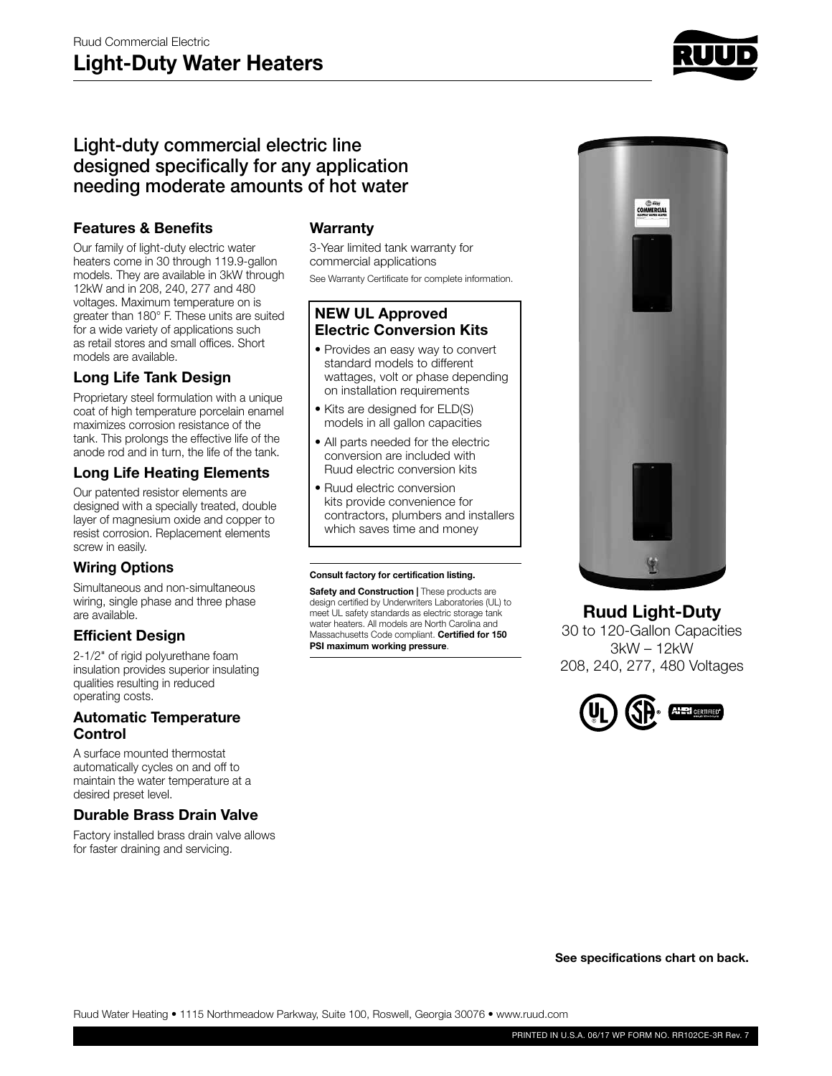

# Light-duty commercial electric line designed specifically for any application needing moderate amounts of hot water

### **Features & Benefits**

Our family of light-duty electric water heaters come in 30 through 119.9-gallon models. They are available in 3kW through 12kW and in 208, 240, 277 and 480 voltages. Maximum temperature on is greater than 180° F. These units are suited for a wide variety of applications such as retail stores and small offices. Short models are available.

### **Long Life Tank Design**

Proprietary steel formulation with a unique coat of high temperature porcelain enamel maximizes corrosion resistance of the tank. This prolongs the effective life of the anode rod and in turn, the life of the tank.

### **Long Life Heating Elements**

Our patented resistor elements are designed with a specially treated, double layer of magnesium oxide and copper to resist corrosion. Replacement elements screw in easily.

## **Wiring Options**

Simultaneous and non-simultaneous wiring, single phase and three phase are available.

## **Efficient Design**

2-1/2" of rigid polyurethane foam insulation provides superior insulating qualities resulting in reduced operating costs.

#### **Automatic Temperature Control**

A surface mounted thermostat automatically cycles on and off to maintain the water temperature at a desired preset level.

## **Durable Brass Drain Valve**

Factory installed brass drain valve allows for faster draining and servicing.

#### **Warranty**

3-Year limited tank warranty for commercial applications See Warranty Certificate for complete information.

#### **NEW UL Approved Electric Conversion Kits**

- Provides an easy way to convert standard models to different wattages, volt or phase depending on installation requirements
- Kits are designed for ELD(S) models in all gallon capacities
- All parts needed for the electric conversion are included with Ruud electric conversion kits
- Ruud electric conversion kits provide convenience for contractors, plumbers and installers which saves time and money

#### **Consult factory for certification listing.**

**Safety and Construction | These products are** design certified by Underwriters Laboratories (UL) to meet UL safety standards as electric storage tank water heaters. All models are North Carolina and Massachusetts Code compliant. **Certified for 150 PSI maximum working pressure**.



## **Ruud Light-Duty**

30 to 120-Gallon Capacities 3kW – 12kW 208, 240, 277, 480 Voltages



**See specifications chart on back.**